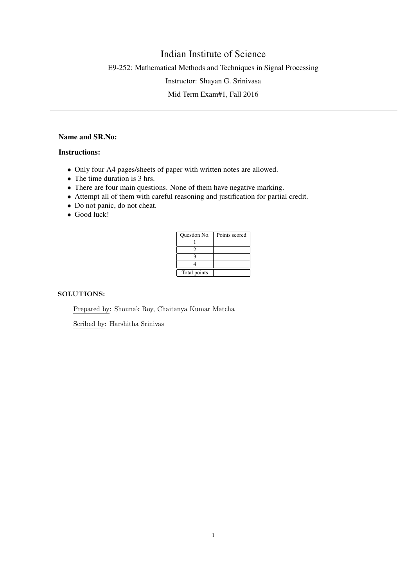# Indian Institute of Science

E9-252: Mathematical Methods and Techniques in Signal Processing

Instructor: Shayan G. Srinivasa

Mid Term Exam#1, Fall 2016

# Name and SR.No:

## Instructions:

- Only four A4 pages/sheets of paper with written notes are allowed.
- The time duration is 3 hrs.
- There are four main questions. None of them have negative marking.
- Attempt all of them with careful reasoning and justification for partial credit.
- Do not panic, do not cheat.
- Good luck!

| <b>Ouestion No.</b> | Points scored |
|---------------------|---------------|
|                     |               |
|                     |               |
|                     |               |
|                     |               |
| Total points        |               |

## SOLUTIONS:

Prepared by: Shounak Roy, Chaitanya Kumar Matcha

Scribed by: Harshitha Srinivas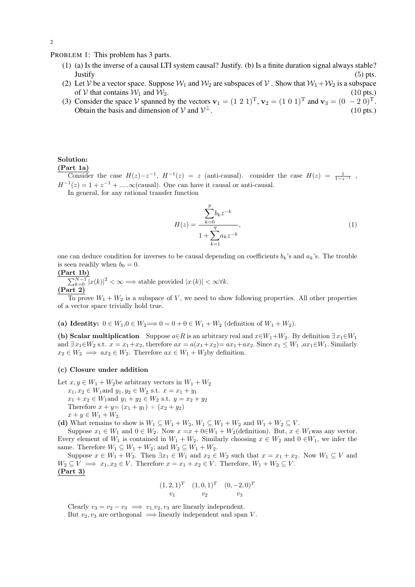PROBLEM 1: This problem has 3 parts.

- (1) (a) Is the inverse of a causal LTI system causal? Justify. (b) Is a finite duration signal always stable? Justify (5) pts.
- (2) Let V be a vector space. Suppose  $W_1$  and  $W_2$  are subspaces of V. Show that  $W_1 + W_2$  is a subspace of V that contains  $W_1$  and  $W_2$ . (10 pts.) of V that contains  $W_1$  and  $W_2$ . (10 pts.) (10 pts.)
- (3) Consider the space V spanned by the vectors  $\mathbf{v}_1 = (1\ 2\ 1)^T$ ,  $\mathbf{v}_2 = (1\ 0\ 1)^T$  and  $\mathbf{v}_3 = (0\ -2\ 0)^T$ . Obtain the basis and dimension of  $V$  and  $V^{\perp}$ . (10 pts.)

#### Solution: (Part 1a)

Consider the case  $H(z)=z^{-1}$ ,  $H^{-1}(z) = z$  (anti-causal). consider the case  $H(z) = \frac{1}{1-z^{-1}}$ ,  $H^{-1}(z) = 1 + z^{-1} + \dots \infty$  (causal). One can have it causal or anti-causal.

In general, for any rational transfer function

$$
H(z) = \frac{\sum_{k=0}^{p} b_k z^{-k}}{1 + \sum_{k=1}^{q} a_k z^{-k}},
$$
\n(1)

one can deduce condition for inverses to be causal depending on coefficients  $b_k$ 's and  $a_k$ 's. The trouble is seen readily when  $b_0 = 0$ .

(Part 1b)

 $\sum_{k=0}^{N-1} |x(k)|^2 < \infty \Longrightarrow$  stable provided  $|x(k)| < \infty \forall k$ . (Part 2)

To prove  $W_1 + W_2$  is a subspace of V, we need to show following properties. All other properties of a vector space trivially hold true.

(a) Identity:  $0 \in W_1, 0 \in W_2 \Longrightarrow 0 = 0 + 0 \in W_1 + W_2$  (definition of  $W_1 + W_2$ ).

(b) Scalar multiplication Suppose  $a \in R$  is an arbitrary real and  $x \in W_1 + W_2$ . By definition  $\exists x_1 \in W_1$ and  $\exists x_1 \in W_2$  s.t.  $x = x_1 + x_2$ , therefore  $ax = a(x_1 + x_2) = ax_1 + ax_2$ . Since  $x_1 \leq W_1$ ,  $ax_1 \in W_1$ . Similarly  $x_2 \in W_2 \implies ax_2 \in W_2$ . Therefore  $ax \in W_1 + W_2$  by definition.

## (c) Closure under addition

Let  $x, y \in W_1 + W_2$ be arbitrary vectors in  $W_1 + W_2$ 

 $x_1, x_2 \in W_1$  and  $y_1, y_2 \in W_2$  s.t.  $x = x_1 + y_1$  $x_1 + x_2 \in W_1$  and  $y_1 + y_2 \in W_2$  s.t.  $y = x_2 + y_2$ Therefore  $x + y = (x_1 + y_1) + (x_2 + y_2)$  $x + y \in W_1 + W_2$ .

(d) What remains to show is  $W_1 \subseteq W_1 + W_2$ ,  $W_1 \subseteq W_1 + W_2$  and  $W_1 + W_2 \subseteq V$ .

Suppose  $x_1 \in W_1$  and  $0 \in W_2$ . Now  $x = x + 0 \in W_1 + W_2$  (definition). But,  $x \in W_1$  was any vector. Every element of  $W_1$  is contained in  $W_1 + W_2$ . Similarly choosing  $x \in W_2$  and  $0 \in W_1$ , we infer the same. Therefore  $W_1 \subseteq W_1 + W_2$ ; and  $W_2 \subseteq W_1 + W_2$ .

Suppose  $x \in W_1 + W_2$ . Then  $\exists x_1 \in W_1$  and  $x_2 \in W_2$  such that  $x = x_1 + x_2$ . Now  $W_1 \subseteq V$  and  $W_2 \subseteq V \implies x_1, x_2 \in V$ . Therefore  $x = x_1 + x_2 \in V$ . Therefore,  $W_1 + W_2 \subseteq V$ . (Part 3)

$$
(1, 2, 1)^T
$$
  $(1, 0, 1)^T$   $(0, -2, 0)^T$   
 $v_1$   $v_2$   $v_3$ 

Clearly  $v_3 = v_2 - v_3 \implies v_1, v_2, v_3$  are linearly independent. But  $v_2, v_3$  are orthogonal  $\implies$  linearly independent and span V.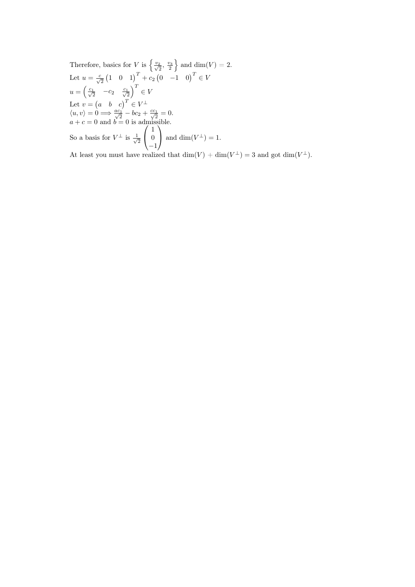Therefore, basics for V is  $\left\{\frac{v_2}{\sqrt{2}},\frac{v_3}{2}\right\}$ } and dim(V) = 2. Let  $u = \frac{c}{\sqrt{2}} (1 \ 0 \ 1)^T + c_2 (0 \ -1 \ 0)^T \in V$  $u = \begin{pmatrix} \frac{c_1}{\sqrt{2}} & -c_2 & \frac{c_1}{\sqrt{2}} \end{pmatrix}$  $\big)^T \in V$ Let  $v = \begin{pmatrix} a & b & c \end{pmatrix}^T \in V^{\perp}$  $\langle u, v \rangle = 0 \Longrightarrow \frac{ac_1}{\sqrt{2}} - bc_2 + \frac{cc_1}{\sqrt{2}} = 0.$  $a + c = 0$  and  $b = 0$  is admissible. So a basis for  $V^{\perp}$  is  $\frac{1}{\sqrt{2}}$ 2  $\overline{\phantom{a}}$  $\mathbf{I}$ 1  $\theta$ −1  $\overline{\phantom{0}}$ and dim( $V^{\perp}$ ) = 1.

At least you must have realized that  $\dim(V) + \dim(V^{\perp}) = 3$  and got  $\dim(V^{\perp})$ .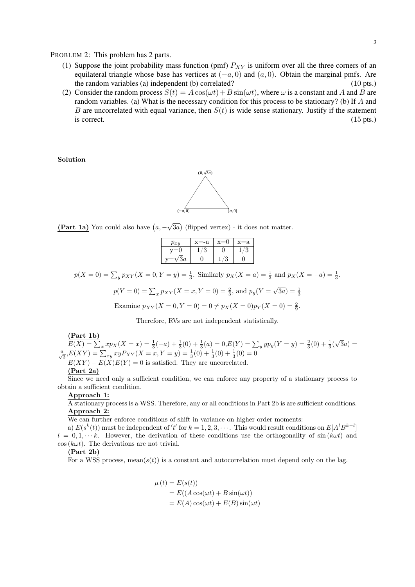PROBLEM 2: This problem has 2 parts.

- (1) Suppose the joint probability mass function (pmf)  $P_{XY}$  is uniform over all the three corners of an equilateral triangle whose base has vertices at  $(-a, 0)$  and  $(a, 0)$ . Obtain the marginal pmfs. Are the random variables (a) independent (b) correlated? (10 pts.) the random variables  $(a)$  independent  $(b)$  correlated?
- (2) Consider the random process  $S(t) = A \cos(\omega t) + B \sin(\omega t)$ , where  $\omega$  is a constant and A and B are random variables. (a) What is the necessary condition for this process to be stationary? (b) If A and B are uncorrelated with equal variance, then  $S(t)$  is wide sense stationary. Justify if the statement is correct.  $(15 \text{ pts.})$

Solution



(Part 1a) You could also have  $(a, -\sqrt{3a})$  (flipped vertex) - it does not matter.

| $p_{xy}$        | -a |   | =a |
|-----------------|----|---|----|
|                 |    |   | ጣ  |
| $\overline{3}a$ |    | c |    |

 $p(X = 0) = \sum_{y} p_{XY}(X = 0, Y = y) = \frac{1}{3}$ . Similarly  $p_X(X = a) = \frac{1}{3}$  and  $p_X(X = -a) = \frac{1}{3}$ .

$$
p(Y = 0) = \sum_{x} p_{XY}(X = x, Y = 0) = \frac{2}{3}
$$
, and  $p_y(Y = \sqrt{3a}) = \frac{1}{3}$ 

Examine  $p_{XY}(X = 0, Y = 0) = 0 \neq p_X(X = 0)p_Y(X = 0) = \frac{2}{9}$ .

Therefore, RVs are not independent statistically.

#### (Part 1b)

 $E(X) = \sum_{x} x p_X(X=x) = \frac{1}{3}(-a) + \frac{1}{3}(0) + \frac{1}{3}(a) = 0, E(Y) = \sum_{y} y p_y(Y=y) = \frac{2}{3}(0) + \frac{1}{3}(\sqrt{3}a) =$  $\frac{a}{\sqrt{3}}$ , $E(XY) = \sum_{xy} xy P_{XY}(X=x, Y=y) = \frac{1}{3}(0) + \frac{1}{3}(0) + \frac{1}{3}(0) = 0$  $E(XY) - E(X)E(Y) = 0$  is satisfied. They are uncorrelated.

#### (Part 2a)

Since we need only a sufficient condition, we can enforce any property of a stationary process to obtain a sufficient condition.

#### Approach 1:

A stationary process is a WSS. Therefore, any or all conditions in Part 2b is are sufficient conditions. Approach 2:

We can further enforce conditions of shift in variance on higher order moments:

a)  $E(s^k(t))$  must be independent of 't' for  $k = 1, 2, 3, \cdots$ . This would result conditions on  $E[A^l B^{k-l}]$  $l = 0, 1, \dots k$ . However, the derivation of these conditions use the orthogonality of sin $(k\omega t)$  and  $\cos(k\omega t)$ . The derivations are not trivial.

#### (Part 2b)

For a WSS process, mean $(s(t))$  is a constant and autocorrelation must depend only on the lag.

$$
\mu(t) = E(s(t))
$$
  
= E((A cos(\omega t) + B sin(\omega t))  
= E(A) cos(\omega t) + E(B) sin(\omega t)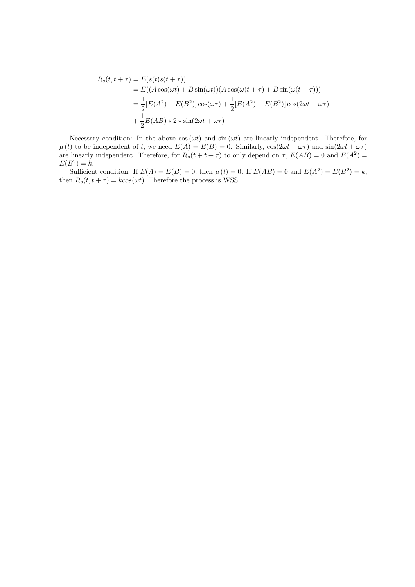$$
R_s(t, t + \tau) = E(s(t)s(t + \tau))
$$
  
=  $E((A \cos(\omega t) + B \sin(\omega t))(A \cos(\omega (t + \tau) + B \sin(\omega (t + \tau))))$   
=  $\frac{1}{2}[E(A^2) + E(B^2)] \cos(\omega \tau) + \frac{1}{2}[E(A^2) - E(B^2)] \cos(2\omega t - \omega \tau)$   
+  $\frac{1}{2}E(AB) * 2 * \sin(2\omega t + \omega \tau)$ 

Necessary condition: In the above  $cos(\omega t)$  and  $sin(\omega t)$  are linearly independent. Therefore, for  $\mu(t)$  to be independent of t, we need  $E(A) = E(B) = 0$ . Similarly,  $\cos(2\omega t - \omega \tau)$  and  $\sin(2\omega t + \omega \tau)$ are linearly independent. Therefore, for  $R_s(t + t + \tau)$  to only depend on  $\tau$ ,  $E(AB) = 0$  and  $E(A^2) =$  $E(B^2) = k.$ 

Sufficient condition: If  $E(A) = E(B) = 0$ , then  $\mu(t) = 0$ . If  $E(AB) = 0$  and  $E(A^2) = E(B^2) = k$ , then  $R_s(t, t + \tau) = k\cos(\omega t)$ . Therefore the process is WSS.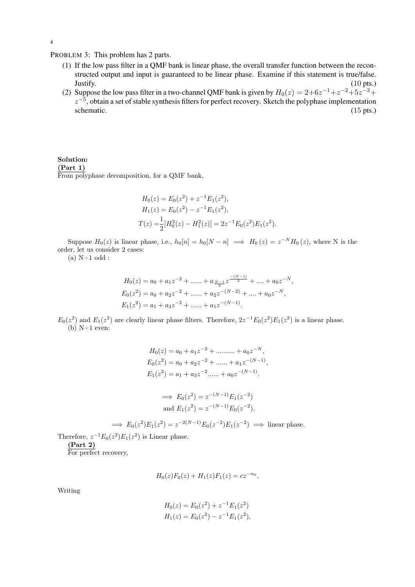PROBLEM 3: This problem has 2 parts.

- (1) If the low pass filter in a QMF bank is linear phase, the overall transfer function between the reconstructed output and input is guaranteed to be linear phase. Examine if this statement is true/false.<br>Justify. (10 pts.) Justify. (10 pts.)
- (2) Suppose the low pass filter in a two-channel QMF bank is given by  $H_0(z) = 2+6z^{-1}+z^{-2}+5z^{-3}+$  $z^{-5}$ , obtain a set of stable synthesis filters for perfect recovery. Sketch the polyphase implementation schematic.  $(15 \text{ pts.})$

### Solution: (Part 1) From polyphase decomposition, for a QMF bank,

$$
H_0(z) = E_0(z^2) + z^{-1} E_1(z^2),
$$
  
\n
$$
H_1(z) = E_0(z^2) - z^{-1} E_1(z^2),
$$
  
\n
$$
T(z) = \frac{1}{2} [H_0^2(z) - H_1^2(z)] = 2z^{-1} E_0(z^2) E_1(z^2).
$$

Suppose  $H_0(z)$  is linear phase, i.e.,  $h_0[n] = h_0[N - n] \implies H_0(z) = z^{-N}H_0(z)$ , where N is the order, let us consider 2 cases:

 $(a)$  N+1 odd :

$$
H_0(z) = a_0 + a_1 z^{-2} + \dots + a_{\frac{N-1}{2}} z^{\frac{-(N-1)}{2}} + \dots + a_0 z^{-N},
$$
  
\n
$$
E_0(z^2) = a_0 + a_2 z^{-2} + \dots + a_2 z^{-(N-2)} + \dots + a_0 z^{-N},
$$
  
\n
$$
E_1(z^2) = a_1 + a_3 z^{-2} + \dots + a_1 z^{-(N-1)}.
$$

 $E_0(z^2)$  and  $E_1(z^2)$  are clearly linear phase filters. Therefore,  $2z^{-1}E_0(z^2)E_1(z^2)$  is a linear phase. (b)  $N+1$  even:

$$
H_0(z) = a_0 + a_1 z^{-2} + \dots + a_0 z^{-N},
$$
  
\n
$$
E_0(z^2) = a_0 + a_2 z^{-2} + \dots + a_1 z^{-(N-1)},
$$
  
\n
$$
E_1(z^2) = a_1 + a_3 z^{-2} + \dots + a_0 z^{-(N-1)}.
$$
  
\n
$$
\implies E_0(z^2) = z^{-(N-1)} E_1(z^{-2})
$$

$$
E_0(z^2) = z^{- (N-1)} E_0(z^{-2}).
$$
  
and  $E_1(z^2) = z^{-(N-1)} E_0(z^{-2}).$ 

$$
\implies E_0(z^2)E_1(z^2) = z^{-2(N-1)}E_0(z^{-2})E_1(z^{-2}) \implies \text{linear phase.}
$$

Therefore,  $z^{-1}E_0(z^2)E_1(z^2)$  is Linear phase.

(Part 2)

For perfect recovery,

$$
H_0(z)F_0(z) + H_1(z)F_1(z) = cz^{-n_0},
$$

Writing

$$
H_0(z) = E_0(z^2) + z^{-1} E_1(z^2)
$$
  
\n
$$
H_1(z) = E_0(z^2) - z^{-1} E_1(z^2),
$$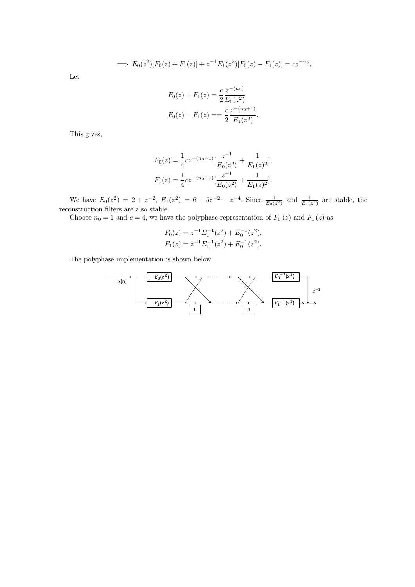$$
\implies E_0(z^2)[F_0(z) + F_1(z)] + z^{-1}E_1(z^2)[F_0(z) - F_1(z)] = cz^{-n_0}.
$$

Let

$$
F_0(z) + F_1(z) = \frac{c}{2} \frac{z^{-(n_0)}}{E_0(z^2)}
$$
  

$$
F_0(z) - F_1(z) = \frac{c}{2} \frac{z^{-(n_0+1)}}{E_1(z^2)}.
$$

This gives,

$$
F_0(z) = \frac{1}{4}cz^{-(n_0-1)}\left[\frac{z^{-1}}{E_0(z^2)} + \frac{1}{E_1(z)^2}\right],
$$
  

$$
F_1(z) = \frac{1}{4}cz^{-(n_0-1)}\left[\frac{z^{-1}}{E_0(z^2)} + \frac{1}{E_1(z)^2}\right].
$$

We have  $E_0(z^2) = 2 + z^{-2}$ ,  $E_1(z^2) = 6 + 5z^{-2} + z^{-4}$ . Since  $\frac{1}{E_0(z^2)}$  and  $\frac{1}{E_1(z^2)}$  are stable, the reconstruction filters are also stable.

Choose  $n_0 = 1$  and  $c = 4$ , we have the polyphase representation of  $F_0(z)$  and  $F_1(z)$  as

$$
F_0(z) = z^{-1} E_1^{-1}(z^2) + E_0^{-1}(z^2),
$$
  
\n
$$
F_1(z) = z^{-1} E_1^{-1}(z^2) + E_0^{-1}(z^2).
$$

The polyphase implementation is shown below:

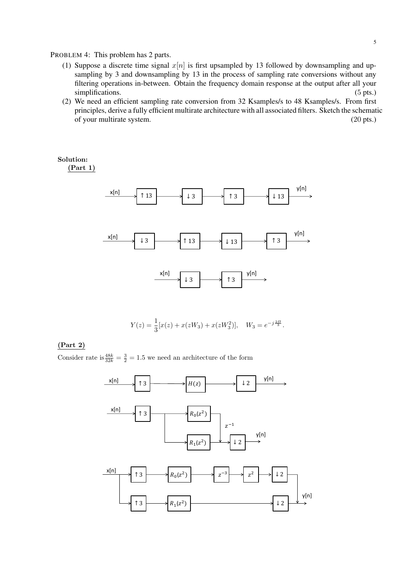PROBLEM 4: This problem has 2 parts.

- (1) Suppose a discrete time signal  $x[n]$  is first upsampled by 13 followed by downsampling and upsampling by 3 and downsampling by 13 in the process of sampling rate conversions without any filtering operations in-between. Obtain the frequency domain response at the output after all your simplifications. (5 pts.)
- (2) We need an efficient sampling rate conversion from 32 Ksamples/s to 48 Ksamples/s. From first principles, derive a fully efficient multirate architecture with all associated filters. Sketch the schematic of your multirate system. (20 pts.)

Solution: (Part 1)



$$
Y(z) = \frac{1}{3} [x(z) + x(zW_3) + x(zW_3^2)], \quad W_3 = e^{-j\frac{2H}{3}}.
$$

### (Part 2)

Consider rate is  $\frac{48k}{32k} = \frac{3}{2} = 1.5$  we need an architecture of the form

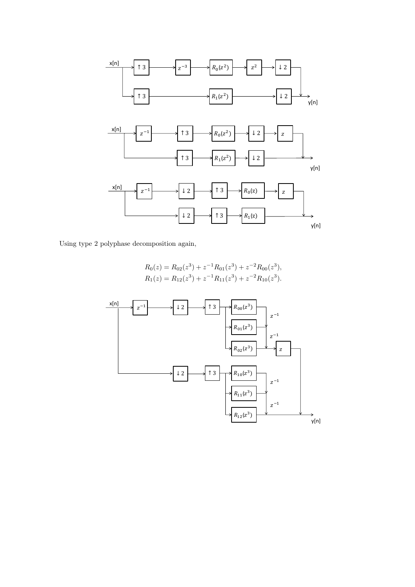

Using type 2 polyphase decomposition again,

$$
R_0(z) = R_{02}(z^3) + z^{-1}R_{01}(z^3) + z^{-2}R_{00}(z^3),
$$
  
\n
$$
R_1(z) = R_{12}(z^3) + z^{-1}R_{11}(z^3) + z^{-2}R_{10}(z^3).
$$